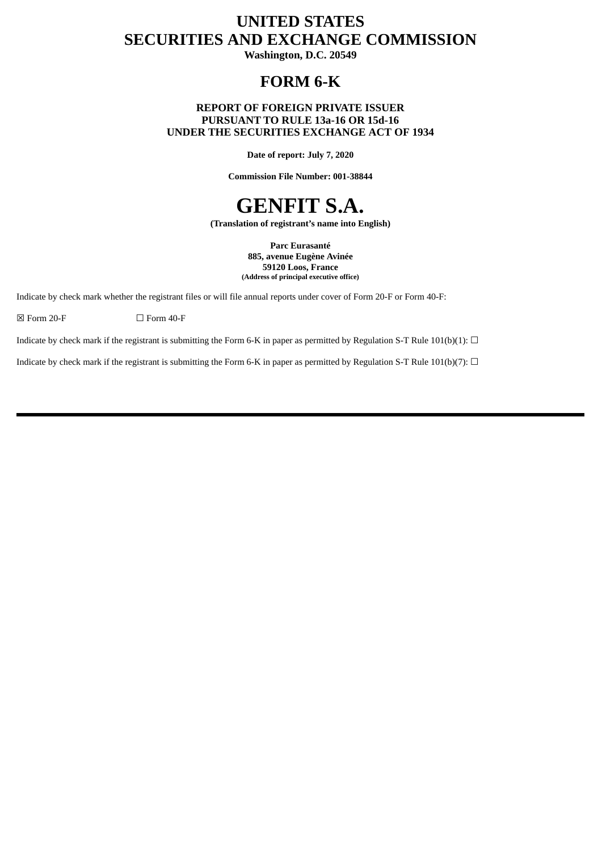# **UNITED STATES SECURITIES AND EXCHANGE COMMISSION**

**Washington, D.C. 20549**

# **FORM 6-K**

# **REPORT OF FOREIGN PRIVATE ISSUER PURSUANT TO RULE 13a-16 OR 15d-16 UNDER THE SECURITIES EXCHANGE ACT OF 1934**

**Date of report: July 7, 2020**

**Commission File Number: 001-38844**

# **GENFIT S.A.**

**(Translation of registrant's name into English)**

**Parc Eurasanté 885, avenue Eugène Avinée 59120 Loos, France (Address of principal executive office)**

Indicate by check mark whether the registrant files or will file annual reports under cover of Form 20-F or Form 40-F:

 $\boxtimes$  Form 20-F  $\Box$  Form 40-F

Indicate by check mark if the registrant is submitting the Form 6-K in paper as permitted by Regulation S-T Rule 101(b)(1):  $\Box$ 

Indicate by check mark if the registrant is submitting the Form 6-K in paper as permitted by Regulation S-T Rule 101(b)(7):  $\Box$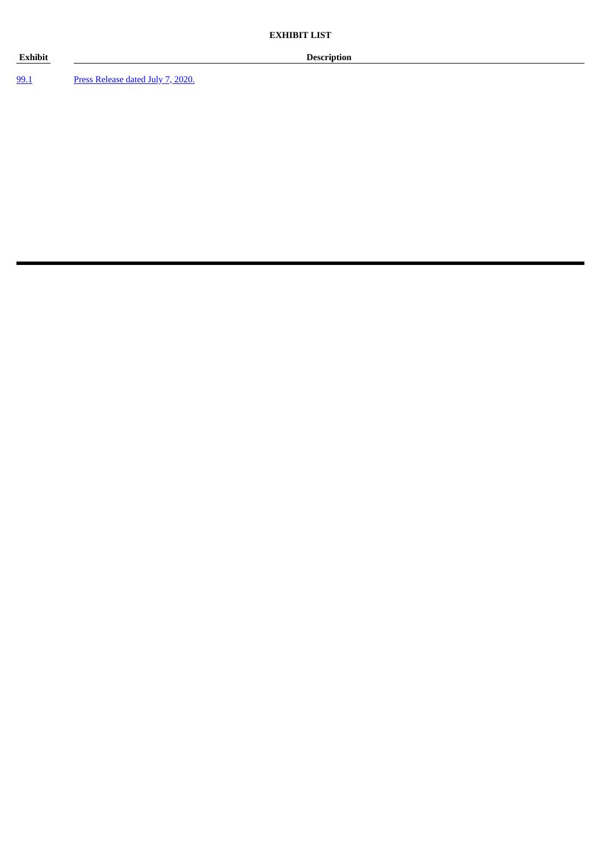[99.1](#page-3-0) Press [Release](#page-3-0) dated July 7, 2020.

**Exhibit Description**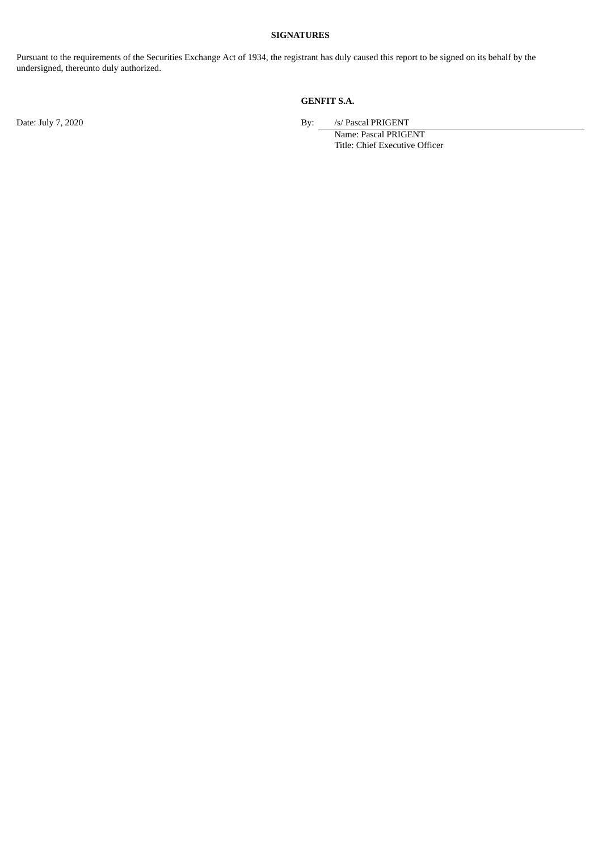## **SIGNATURES**

Pursuant to the requirements of the Securities Exchange Act of 1934, the registrant has duly caused this report to be signed on its behalf by the undersigned, thereunto duly authorized.

# **GENFIT S.A.**

Date: July 7, 2020 **By:** *S/ Pascal PRIGENT* 

Name: Pascal PRIGENT Title: Chief Executive Officer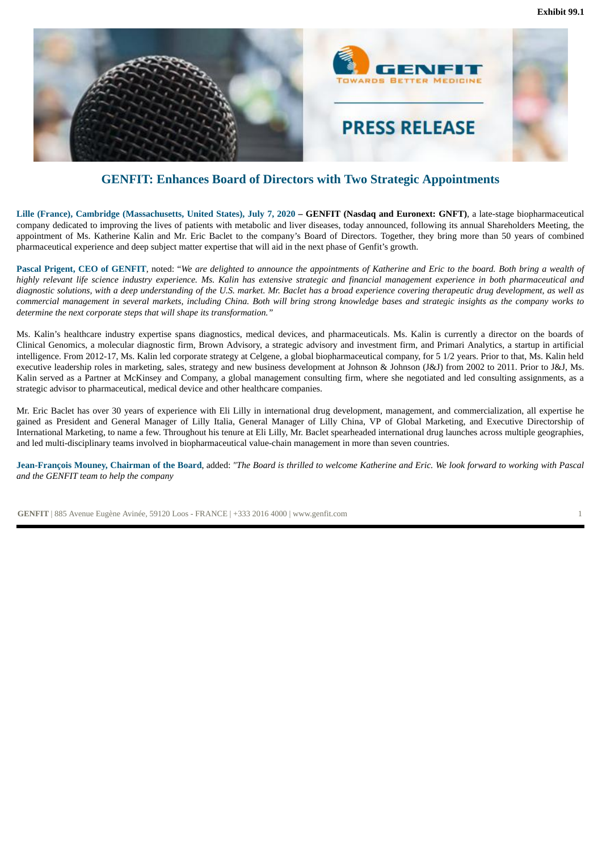

<span id="page-3-0"></span>

# **GENFIT: Enhances Board of Directors with Two Strategic Appointments**

Lille (France), Cambridge (Massachusetts, United States), July 7, 2020 - GENFIT (Nasdaq and Euronext: GNFT), a late-stage biopharmaceutical company dedicated to improving the lives of patients with metabolic and liver diseases, today announced, following its annual Shareholders Meeting, the appointment of Ms. Katherine Kalin and Mr. Eric Baclet to the company's Board of Directors. Together, they bring more than 50 years of combined pharmaceutical experience and deep subject matter expertise that will aid in the next phase of Genfit's growth.

Pascal Prigent, CEO of GENFIT, noted: "We are delighted to announce the appointments of Katherine and Eric to the board. Both bring a wealth of highly relevant life science industry experience. Ms. Kalin has extensive strategic and financial management experience in both pharmaceutical and diagnostic solutions, with a deep understanding of the U.S. market. Mr. Baclet has a broad experience covering therapeutic drug development, as well as commercial management in several markets, including China. Both will bring strong knowledge bases and strategic insights as the company works to *determine the next corporate steps that will shape its transformation."*

Ms. Kalin's healthcare industry expertise spans diagnostics, medical devices, and pharmaceuticals. Ms. Kalin is currently a director on the boards of Clinical Genomics, a molecular diagnostic firm, Brown Advisory, a strategic advisory and investment firm, and Primari Analytics, a startup in artificial intelligence. From 2012-17, Ms. Kalin led corporate strategy at Celgene, a global biopharmaceutical company, for 5 1/2 years. Prior to that, Ms. Kalin held executive leadership roles in marketing, sales, strategy and new business development at Johnson & Johnson (J&J) from 2002 to 2011. Prior to J&J, Ms. Kalin served as a Partner at McKinsey and Company, a global management consulting firm, where she negotiated and led consulting assignments, as a strategic advisor to pharmaceutical, medical device and other healthcare companies.

Mr. Eric Baclet has over 30 years of experience with Eli Lilly in international drug development, management, and commercialization, all expertise he gained as President and General Manager of Lilly Italia, General Manager of Lilly China, VP of Global Marketing, and Executive Directorship of International Marketing, to name a few. Throughout his tenure at Eli Lilly, Mr. Baclet spearheaded international drug launches across multiple geographies, and led multi-disciplinary teams involved in biopharmaceutical value-chain management in more than seven countries.

Jean-Francois Mouney, Chairman of the Board, added: "The Board is thrilled to welcome Katherine and Eric. We look forward to working with Pascal *and the GENFIT team to help the company*

**GENFIT** | 885 Avenue Eugène Avinée, 59120 Loos - FRANCE | +333 2016 4000 | www.genfit.com 1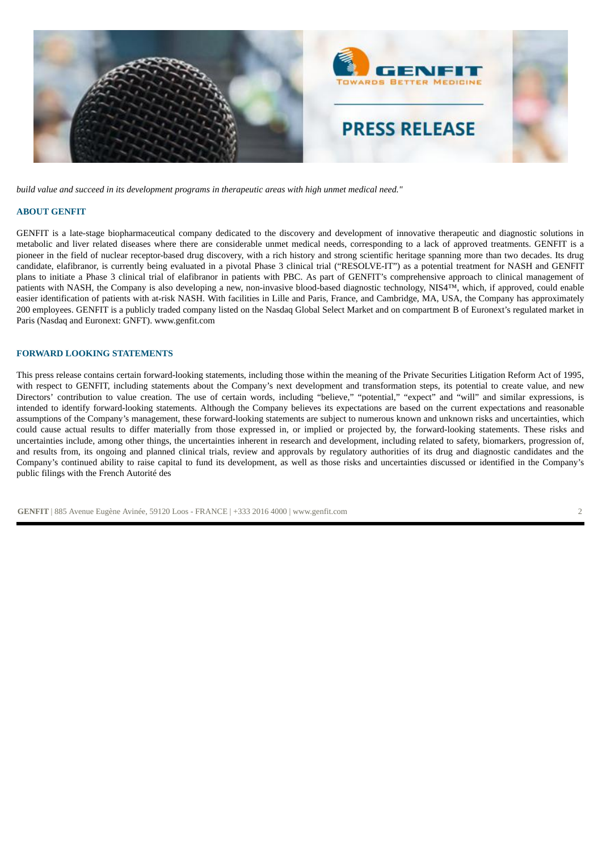

*build value and succeed in its development programs in therapeutic areas with high unmet medical need."*

#### **ABOUT GENFIT**

GENFIT is a late-stage biopharmaceutical company dedicated to the discovery and development of innovative therapeutic and diagnostic solutions in metabolic and liver related diseases where there are considerable unmet medical needs, corresponding to a lack of approved treatments. GENFIT is a pioneer in the field of nuclear receptor-based drug discovery, with a rich history and strong scientific heritage spanning more than two decades. Its drug candidate, elafibranor, is currently being evaluated in a pivotal Phase 3 clinical trial ("RESOLVE-IT") as a potential treatment for NASH and GENFIT plans to initiate a Phase 3 clinical trial of elafibranor in patients with PBC. As part of GENFIT's comprehensive approach to clinical management of patients with NASH, the Company is also developing a new, non-invasive blood-based diagnostic technology, NIS4™, which, if approved, could enable easier identification of patients with at-risk NASH. With facilities in Lille and Paris, France, and Cambridge, MA, USA, the Company has approximately 200 employees. GENFIT is a publicly traded company listed on the Nasdaq Global Select Market and on compartment B of Euronext's regulated market in Paris (Nasdaq and Euronext: GNFT). www.genfit.com

#### **FORWARD LOOKING STATEMENTS**

This press release contains certain forward-looking statements, including those within the meaning of the Private Securities Litigation Reform Act of 1995, with respect to GENFIT, including statements about the Company's next development and transformation steps, its potential to create value, and new Directors' contribution to value creation. The use of certain words, including "believe," "potential," "expect" and "will" and similar expressions, is intended to identify forward-looking statements. Although the Company believes its expectations are based on the current expectations and reasonable assumptions of the Company's management, these forward-looking statements are subject to numerous known and unknown risks and uncertainties, which could cause actual results to differ materially from those expressed in, or implied or projected by, the forward-looking statements. These risks and uncertainties include, among other things, the uncertainties inherent in research and development, including related to safety, biomarkers, progression of, and results from, its ongoing and planned clinical trials, review and approvals by regulatory authorities of its drug and diagnostic candidates and the Company's continued ability to raise capital to fund its development, as well as those risks and uncertainties discussed or identified in the Company's public filings with the French Autorité des

**GENFIT** | 885 Avenue Eugène Avinée, 59120 Loos - FRANCE | +333 2016 4000 | www.genfit.com 2